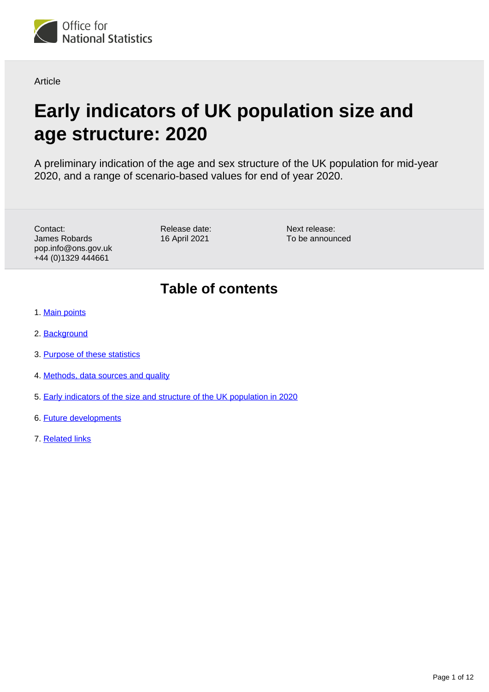

**Article** 

# **Early indicators of UK population size and age structure: 2020**

A preliminary indication of the age and sex structure of the UK population for mid-year 2020, and a range of scenario-based values for end of year 2020.

Contact: James Robards pop.info@ons.gov.uk +44 (0)1329 444661

Release date: 16 April 2021

Next release: To be announced

## **Table of contents**

- 1. [Main points](#page-1-0)
- 2. [Background](#page-1-1)
- 3. [Purpose of these statistics](#page-2-0)
- 4. [Methods, data sources and quality](#page-2-1)
- 5. [Early indicators of the size and structure of the UK population in 2020](#page-4-0)
- 6. [Future developments](#page-10-0)
- 7. [Related links](#page-11-0)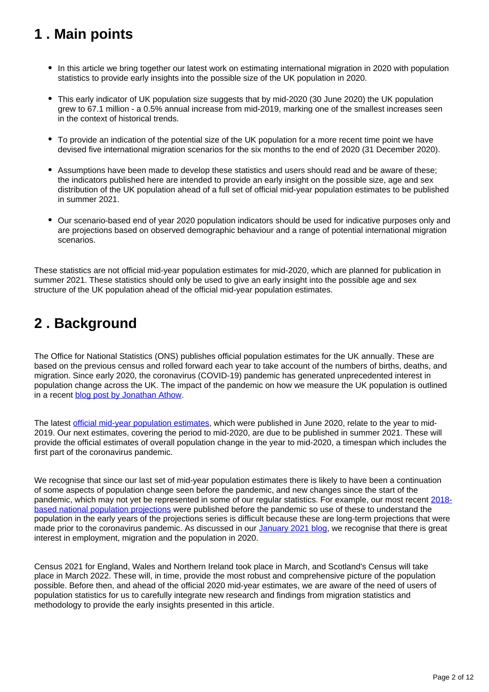## <span id="page-1-0"></span>**1 . Main points**

- In this article we bring together our latest work on estimating international migration in 2020 with population statistics to provide early insights into the possible size of the UK population in 2020.
- This early indicator of UK population size suggests that by mid-2020 (30 June 2020) the UK population grew to 67.1 million - a 0.5% annual increase from mid-2019, marking one of the smallest increases seen in the context of historical trends.
- To provide an indication of the potential size of the UK population for a more recent time point we have devised five international migration scenarios for the six months to the end of 2020 (31 December 2020).
- Assumptions have been made to develop these statistics and users should read and be aware of these; the indicators published here are intended to provide an early insight on the possible size, age and sex distribution of the UK population ahead of a full set of official mid-year population estimates to be published in summer 2021.
- Our scenario-based end of year 2020 population indicators should be used for indicative purposes only and are projections based on observed demographic behaviour and a range of potential international migration scenarios.

These statistics are not official mid-year population estimates for mid-2020, which are planned for publication in summer 2021. These statistics should only be used to give an early insight into the possible age and sex structure of the UK population ahead of the official mid-year population estimates.

## <span id="page-1-1"></span>**2 . Background**

The Office for National Statistics (ONS) publishes official population estimates for the UK annually. These are based on the previous census and rolled forward each year to take account of the numbers of births, deaths, and migration. Since early 2020, the coronavirus (COVID-19) pandemic has generated unprecedented interest in population change across the UK. The impact of the pandemic on how we measure the UK population is outlined in a recent [blog post by Jonathan Athow](https://blog.ons.gov.uk/2021/03/23/exploring-how-the-uk-population-and-workforce-are-changing-in-the-pandemic/).

The latest [official mid-year population estimates,](https://www.ons.gov.uk/peoplepopulationandcommunity/populationandmigration/populationestimates/bulletins/annualmidyearpopulationestimates/mid2019estimates) which were published in June 2020, relate to the year to mid-2019. Our next estimates, covering the period to mid-2020, are due to be published in summer 2021. These will provide the official estimates of overall population change in the year to mid-2020, a timespan which includes the first part of the coronavirus pandemic.

We recognise that since our last set of mid-year population estimates there is likely to have been a continuation of some aspects of population change seen before the pandemic, and new changes since the start of the pandemic, which may not yet be represented in some of our regular statistics. For example, our most recent [2018](https://www.ons.gov.uk/peoplepopulationandcommunity/populationandmigration/populationprojections/bulletins/nationalpopulationprojections/2018based) [based national population projections](https://www.ons.gov.uk/peoplepopulationandcommunity/populationandmigration/populationprojections/bulletins/nationalpopulationprojections/2018based) were published before the pandemic so use of these to understand the population in the early years of the projections series is difficult because these are long-term projections that were made prior to the coronavirus pandemic. As discussed in our [January 2021 blog](https://blog.ons.gov.uk/2021/01/25/understanding-how-the-pandemic-population/), we recognise that there is great interest in employment, migration and the population in 2020.

Census 2021 for England, Wales and Northern Ireland took place in March, and Scotland's Census will take place in March 2022. These will, in time, provide the most robust and comprehensive picture of the population possible. Before then, and ahead of the official 2020 mid-year estimates, we are aware of the need of users of population statistics for us to carefully integrate new research and findings from migration statistics and methodology to provide the early insights presented in this article.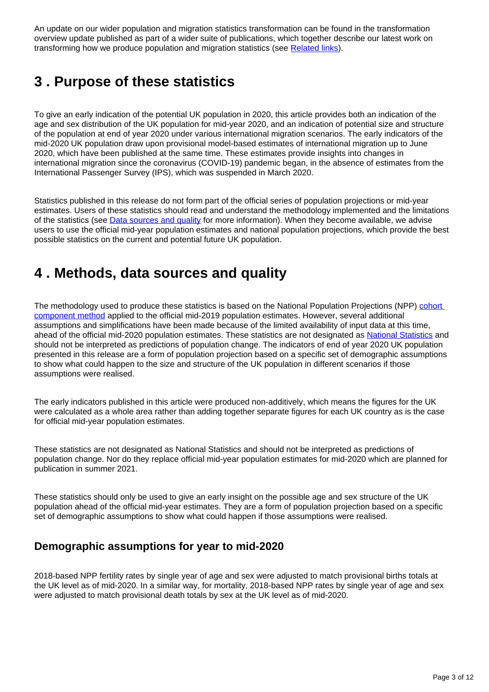An update on our wider population and migration statistics transformation can be found in the transformation overview update published as part of a wider suite of publications, which together describe our latest work on transforming how we produce population and migration statistics (see [Related links\)](https://publishing.ons.gov.uk/peoplepopulationandcommunity/populationandmigration/populationestimates/articles/earlyindicatorsofukpopulationsizeandagestructure2020/2021-04-16#related-links).

## <span id="page-2-0"></span>**3 . Purpose of these statistics**

To give an early indication of the potential UK population in 2020, this article provides both an indication of the age and sex distribution of the UK population for mid-year 2020, and an indication of potential size and structure of the population at end of year 2020 under various international migration scenarios. The early indicators of the mid-2020 UK population draw upon provisional model-based estimates of international migration up to June 2020, which have been published at the same time. These estimates provide insights into changes in international migration since the coronavirus (COVID-19) pandemic began, in the absence of estimates from the International Passenger Survey (IPS), which was suspended in March 2020.

Statistics published in this release do not form part of the official series of population projections or mid-year estimates. Users of these statistics should read and understand the methodology implemented and the limitations of the statistics (see **Data sources and quality** for more information). When they become available, we advise users to use the official mid-year population estimates and national population projections, which provide the best possible statistics on the current and potential future UK population.

## <span id="page-2-1"></span>**4 . Methods, data sources and quality**

The methodology used to produce these statistics is based on the National Population Projections (NPP) cohort [component method](https://www.ons.gov.uk/peoplepopulationandcommunity/populationandmigration/populationprojections/methodologies/nationalpopulationprojectionsbackgroundandmethodology2018based) applied to the official mid-2019 population estimates. However, several additional assumptions and simplifications have been made because of the limited availability of input data at this time, ahead of the official mid-2020 population estimates. These statistics are not designated as [National Statistics](https://osr.statisticsauthority.gov.uk/national-statistics/) and should not be interpreted as predictions of population change. The indicators of end of year 2020 UK population presented in this release are a form of population projection based on a specific set of demographic assumptions to show what could happen to the size and structure of the UK population in different scenarios if those assumptions were realised.

The early indicators published in this article were produced non-additively, which means the figures for the UK were calculated as a whole area rather than adding together separate figures for each UK country as is the case for official mid-year population estimates.

These statistics are not designated as National Statistics and should not be interpreted as predictions of population change. Nor do they replace official mid-year population estimates for mid-2020 which are planned for publication in summer 2021.

These statistics should only be used to give an early insight on the possible age and sex structure of the UK population ahead of the official mid-year estimates. They are a form of population projection based on a specific set of demographic assumptions to show what could happen if those assumptions were realised.

### **Demographic assumptions for year to mid-2020**

2018-based NPP fertility rates by single year of age and sex were adjusted to match provisional births totals at the UK level as of mid-2020. In a similar way, for mortality, 2018-based NPP rates by single year of age and sex were adjusted to match provisional death totals by sex at the UK level as of mid-2020.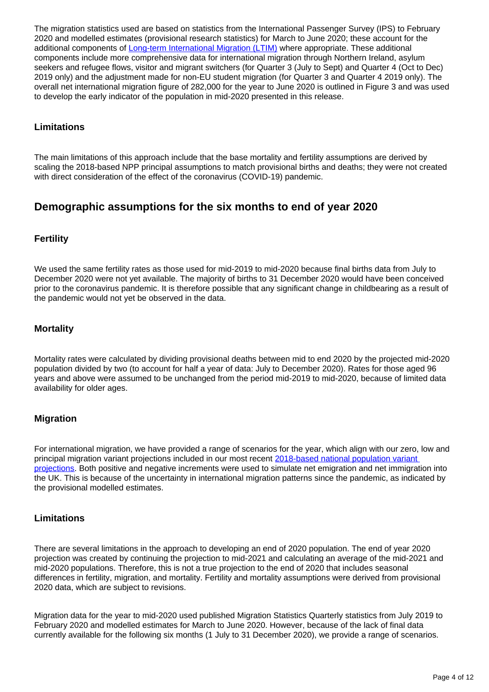The migration statistics used are based on statistics from the International Passenger Survey (IPS) to February 2020 and modelled estimates (provisional research statistics) for March to June 2020; these account for the additional components of [Long-term International Migration \(LTIM\)](https://www.ons.gov.uk/peoplepopulationandcommunity/populationandmigration/internationalmigration/methodologies/longterminternationalmigrationestimatesmethodology) where appropriate. These additional components include more comprehensive data for international migration through Northern Ireland, asylum seekers and refugee flows, visitor and migrant switchers (for Quarter 3 (July to Sept) and Quarter 4 (Oct to Dec) 2019 only) and the adjustment made for non-EU student migration (for Quarter 3 and Quarter 4 2019 only). The overall net international migration figure of 282,000 for the year to June 2020 is outlined in Figure 3 and was used to develop the early indicator of the population in mid-2020 presented in this release.

#### **Limitations**

The main limitations of this approach include that the base mortality and fertility assumptions are derived by scaling the 2018-based NPP principal assumptions to match provisional births and deaths; they were not created with direct consideration of the effect of the coronavirus (COVID-19) pandemic.

### **Demographic assumptions for the six months to end of year 2020**

#### **Fertility**

We used the same fertility rates as those used for mid-2019 to mid-2020 because final births data from July to December 2020 were not yet available. The majority of births to 31 December 2020 would have been conceived prior to the coronavirus pandemic. It is therefore possible that any significant change in childbearing as a result of the pandemic would not yet be observed in the data.

#### **Mortality**

Mortality rates were calculated by dividing provisional deaths between mid to end 2020 by the projected mid-2020 population divided by two (to account for half a year of data: July to December 2020). Rates for those aged 96 years and above were assumed to be unchanged from the period mid-2019 to mid-2020, because of limited data availability for older ages.

#### **Migration**

For international migration, we have provided a range of scenarios for the year, which align with our zero, low and principal migration variant projections included in our most recent [2018-based national population variant](https://www.ons.gov.uk/peoplepopulationandcommunity/populationandmigration/populationprojections/methodologies/nationalpopulationprojectionsvariantprojections2018based#range-of-variants)  [projections.](https://www.ons.gov.uk/peoplepopulationandcommunity/populationandmigration/populationprojections/methodologies/nationalpopulationprojectionsvariantprojections2018based#range-of-variants) Both positive and negative increments were used to simulate net emigration and net immigration into the UK. This is because of the uncertainty in international migration patterns since the pandemic, as indicated by the provisional modelled estimates.

#### **Limitations**

There are several limitations in the approach to developing an end of 2020 population. The end of year 2020 projection was created by continuing the projection to mid-2021 and calculating an average of the mid-2021 and mid-2020 populations. Therefore, this is not a true projection to the end of 2020 that includes seasonal differences in fertility, migration, and mortality. Fertility and mortality assumptions were derived from provisional 2020 data, which are subject to revisions.

Migration data for the year to mid-2020 used published Migration Statistics Quarterly statistics from July 2019 to February 2020 and modelled estimates for March to June 2020. However, because of the lack of final data currently available for the following six months (1 July to 31 December 2020), we provide a range of scenarios.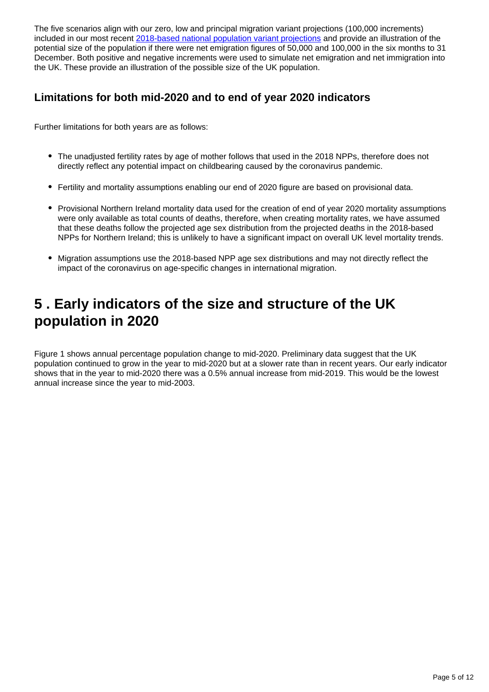The five scenarios align with our zero, low and principal migration variant projections (100,000 increments) included in our most recent [2018-based national population variant projections](https://www.ons.gov.uk/peoplepopulationandcommunity/populationandmigration/populationprojections/methodologies/nationalpopulationprojectionsvariantprojections2018based#range-of-variants) and provide an illustration of the potential size of the population if there were net emigration figures of 50,000 and 100,000 in the six months to 31 December. Both positive and negative increments were used to simulate net emigration and net immigration into the UK. These provide an illustration of the possible size of the UK population.

### **Limitations for both mid-2020 and to end of year 2020 indicators**

Further limitations for both years are as follows:

- The unadjusted fertility rates by age of mother follows that used in the 2018 NPPs, therefore does not directly reflect any potential impact on childbearing caused by the coronavirus pandemic.
- Fertility and mortality assumptions enabling our end of 2020 figure are based on provisional data.
- Provisional Northern Ireland mortality data used for the creation of end of year 2020 mortality assumptions were only available as total counts of deaths, therefore, when creating mortality rates, we have assumed that these deaths follow the projected age sex distribution from the projected deaths in the 2018-based NPPs for Northern Ireland; this is unlikely to have a significant impact on overall UK level mortality trends.
- Migration assumptions use the 2018-based NPP age sex distributions and may not directly reflect the impact of the coronavirus on age-specific changes in international migration.

## <span id="page-4-0"></span>**5 . Early indicators of the size and structure of the UK population in 2020**

Figure 1 shows annual percentage population change to mid-2020. Preliminary data suggest that the UK population continued to grow in the year to mid-2020 but at a slower rate than in recent years. Our early indicator shows that in the year to mid-2020 there was a 0.5% annual increase from mid-2019. This would be the lowest annual increase since the year to mid-2003.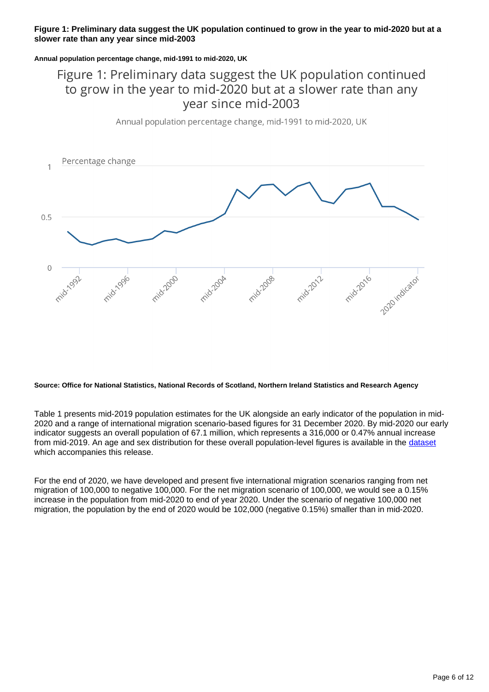#### **Figure 1: Preliminary data suggest the UK population continued to grow in the year to mid-2020 but at a slower rate than any year since mid-2003**

#### **Annual population percentage change, mid-1991 to mid-2020, UK**

### Figure 1: Preliminary data suggest the UK population continued to grow in the year to mid-2020 but at a slower rate than any vear since mid-2003

Annual population percentage change, mid-1991 to mid-2020, UK



#### **Source: Office for National Statistics, National Records of Scotland, Northern Ireland Statistics and Research Agency**

Table 1 presents mid-2019 population estimates for the UK alongside an early indicator of the population in mid-2020 and a range of international migration scenario-based figures for 31 December 2020. By mid-2020 our early indicator suggests an overall population of 67.1 million, which represents a 316,000 or 0.47% annual increase from mid-2019. An age and sex distribution for these overall population-level figures is available in the [dataset](https://www.ons.gov.uk/file?uri=/peoplepopulationandcommunity/populationandmigration/populationestimates/datasets/earlyindicatorsofukpopulationsizeandagestructure/2020/earlyindicatorsofukpopulationdata.xlsx) which accompanies this release.

For the end of 2020, we have developed and present five international migration scenarios ranging from net migration of 100,000 to negative 100,000. For the net migration scenario of 100,000, we would see a 0.15% increase in the population from mid-2020 to end of year 2020. Under the scenario of negative 100,000 net migration, the population by the end of 2020 would be 102,000 (negative 0.15%) smaller than in mid-2020.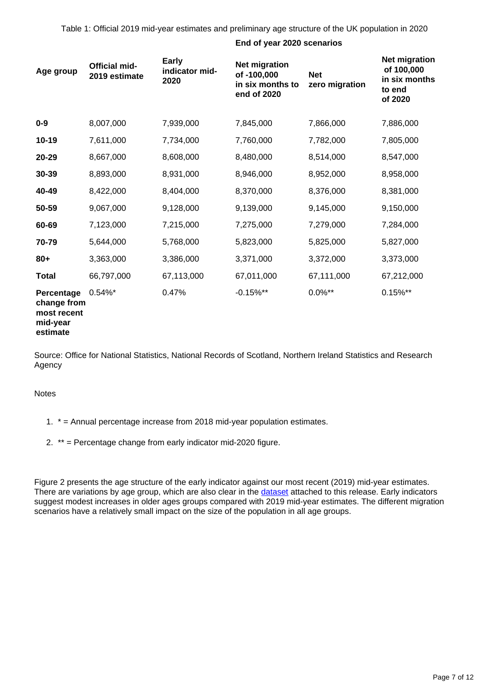Table 1: Official 2019 mid-year estimates and preliminary age structure of the UK population in 2020

#### **End of year 2020 scenarios**

| Age group                                                        | <b>Official mid-</b><br>2019 estimate | Early<br>indicator mid-<br>2020 | <b>Net migration</b><br>of -100,000<br>in six months to<br>end of 2020 | <b>Net</b><br>zero migration | <b>Net migration</b><br>of 100,000<br>in six months<br>to end<br>of 2020 |
|------------------------------------------------------------------|---------------------------------------|---------------------------------|------------------------------------------------------------------------|------------------------------|--------------------------------------------------------------------------|
| $0-9$                                                            | 8,007,000                             | 7,939,000                       | 7,845,000                                                              | 7,866,000                    | 7,886,000                                                                |
| $10 - 19$                                                        | 7,611,000                             | 7,734,000                       | 7,760,000                                                              | 7,782,000                    | 7,805,000                                                                |
| 20-29                                                            | 8,667,000                             | 8,608,000                       | 8,480,000                                                              | 8,514,000                    | 8,547,000                                                                |
| 30-39                                                            | 8,893,000                             | 8,931,000                       | 8,946,000                                                              | 8,952,000                    | 8,958,000                                                                |
| 40-49                                                            | 8,422,000                             | 8,404,000                       | 8,370,000                                                              | 8,376,000                    | 8,381,000                                                                |
| 50-59                                                            | 9,067,000                             | 9,128,000                       | 9,139,000                                                              | 9,145,000                    | 9,150,000                                                                |
| 60-69                                                            | 7,123,000                             | 7,215,000                       | 7,275,000                                                              | 7,279,000                    | 7,284,000                                                                |
| 70-79                                                            | 5,644,000                             | 5,768,000                       | 5,823,000                                                              | 5,825,000                    | 5,827,000                                                                |
| $80 +$                                                           | 3,363,000                             | 3,386,000                       | 3,371,000                                                              | 3,372,000                    | 3,373,000                                                                |
| <b>Total</b>                                                     | 66,797,000                            | 67,113,000                      | 67,011,000                                                             | 67,111,000                   | 67,212,000                                                               |
| Percentage<br>change from<br>most recent<br>mid-year<br>estimate | $0.54\%$ *                            | 0.47%                           | $-0.15%$ **                                                            | $0.0\%$ **                   | $0.15\%$ **                                                              |

Source: Office for National Statistics, National Records of Scotland, Northern Ireland Statistics and Research Agency

#### **Notes**

- 1. \* = Annual percentage increase from 2018 mid-year population estimates.
- 2. \*\* = Percentage change from early indicator mid-2020 figure.

Figure 2 presents the age structure of the early indicator against our most recent (2019) mid-year estimates. There are variations by age group, which are also clear in the [dataset](https://www.ons.gov.uk/file?uri=/peoplepopulationandcommunity/populationandmigration/populationestimates/datasets/earlyindicatorsofukpopulationsizeandagestructure/2020/earlyindicatorsofukpopulationdata.xlsx) attached to this release. Early indicators suggest modest increases in older ages groups compared with 2019 mid-year estimates. The different migration scenarios have a relatively small impact on the size of the population in all age groups.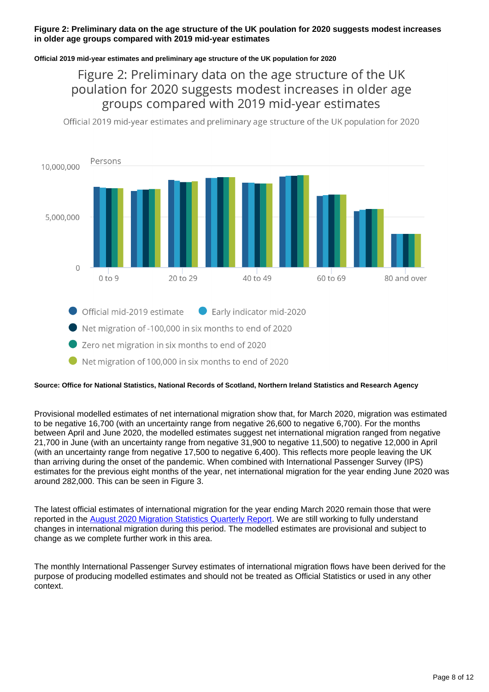#### **Figure 2: Preliminary data on the age structure of the UK poulation for 2020 suggests modest increases in older age groups compared with 2019 mid-year estimates**

#### **Official 2019 mid-year estimates and preliminary age structure of the UK population for 2020**

### Figure 2: Preliminary data on the age structure of the UK poulation for 2020 suggests modest increases in older age groups compared with 2019 mid-year estimates

Official 2019 mid-year estimates and preliminary age structure of the UK population for 2020



- Official mid-2019 estimate Early indicator mid-2020
- Net migration of -100,000 in six months to end of 2020
- Zero net migration in six months to end of 2020
- Net migration of 100,000 in six months to end of 2020

#### **Source: Office for National Statistics, National Records of Scotland, Northern Ireland Statistics and Research Agency**

Provisional modelled estimates of net international migration show that, for March 2020, migration was estimated to be negative 16,700 (with an uncertainty range from negative 26,600 to negative 6,700). For the months between April and June 2020, the modelled estimates suggest net international migration ranged from negative 21,700 in June (with an uncertainty range from negative 31,900 to negative 11,500) to negative 12,000 in April (with an uncertainty range from negative 17,500 to negative 6,400). This reflects more people leaving the UK than arriving during the onset of the pandemic. When combined with International Passenger Survey (IPS) estimates for the previous eight months of the year, net international migration for the year ending June 2020 was around 282,000. This can be seen in Figure 3.

The latest official estimates of international migration for the year ending March 2020 remain those that were reported in the [August 2020 Migration Statistics Quarterly Report](https://www.ons.gov.uk/peoplepopulationandcommunity/populationandmigration/internationalmigration/bulletins/migrationstatisticsquarterlyreport/august2020). We are still working to fully understand changes in international migration during this period. The modelled estimates are provisional and subject to change as we complete further work in this area.

The monthly International Passenger Survey estimates of international migration flows have been derived for the purpose of producing modelled estimates and should not be treated as Official Statistics or used in any other context.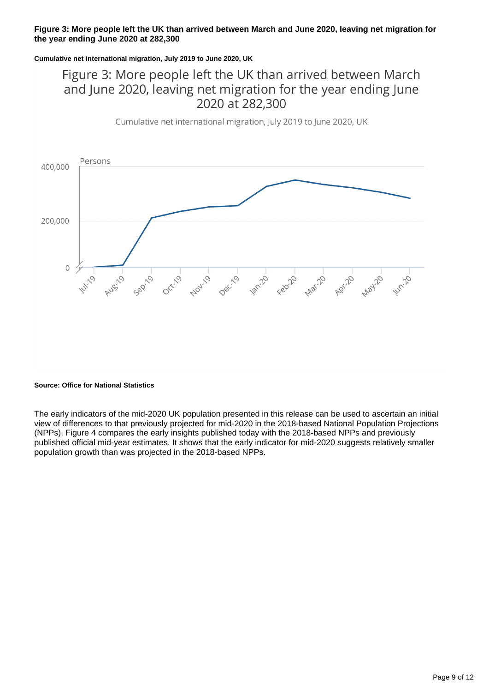#### **Figure 3: More people left the UK than arrived between March and June 2020, leaving net migration for the year ending June 2020 at 282,300**

#### **Cumulative net international migration, July 2019 to June 2020, UK**

### Figure 3: More people left the UK than arrived between March and June 2020, leaving net migration for the year ending June 2020 at 282,300

Cumulative net international migration, July 2019 to June 2020, UK



#### **Source: Office for National Statistics**

The early indicators of the mid-2020 UK population presented in this release can be used to ascertain an initial view of differences to that previously projected for mid-2020 in the 2018-based National Population Projections (NPPs). Figure 4 compares the early insights published today with the 2018-based NPPs and previously published official mid-year estimates. It shows that the early indicator for mid-2020 suggests relatively smaller population growth than was projected in the 2018-based NPPs.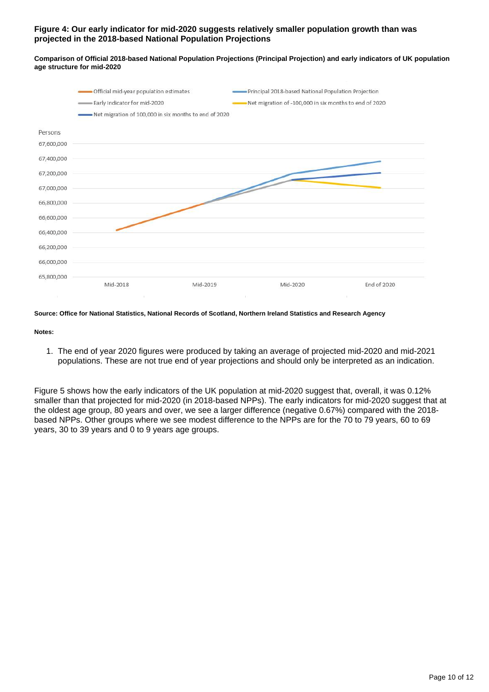#### **Figure 4: Our early indicator for mid-2020 suggests relatively smaller population growth than was projected in the 2018-based National Population Projections**

**Comparison of Official 2018-based National Population Projections (Principal Projection) and early indicators of UK population age structure for mid-2020**



#### **Source: Office for National Statistics, National Records of Scotland, Northern Ireland Statistics and Research Agency**

#### **Notes:**

1. The end of year 2020 figures were produced by taking an average of projected mid-2020 and mid-2021 populations. These are not true end of year projections and should only be interpreted as an indication.

Figure 5 shows how the early indicators of the UK population at mid-2020 suggest that, overall, it was 0.12% smaller than that projected for mid-2020 (in 2018-based NPPs). The early indicators for mid-2020 suggest that at the oldest age group, 80 years and over, we see a larger difference (negative 0.67%) compared with the 2018 based NPPs. Other groups where we see modest difference to the NPPs are for the 70 to 79 years, 60 to 69 years, 30 to 39 years and 0 to 9 years age groups.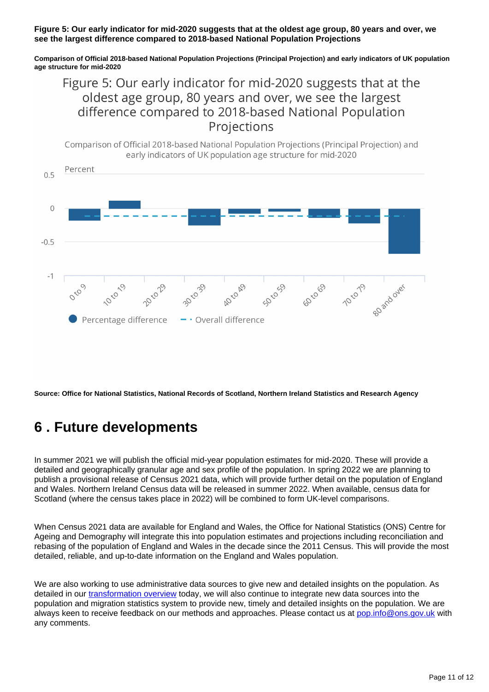#### **Figure 5: Our early indicator for mid-2020 suggests that at the oldest age group, 80 years and over, we see the largest difference compared to 2018-based National Population Projections**

**Comparison of Official 2018-based National Population Projections (Principal Projection) and early indicators of UK population age structure for mid-2020**

### Figure 5: Our early indicator for mid-2020 suggests that at the oldest age group, 80 years and over, we see the largest difference compared to 2018-based National Population Projections

Comparison of Official 2018-based National Population Projections (Principal Projection) and early indicators of UK population age structure for mid-2020

![](_page_10_Figure_4.jpeg)

**Source: Office for National Statistics, National Records of Scotland, Northern Ireland Statistics and Research Agency**

## <span id="page-10-0"></span>**6 . Future developments**

In summer 2021 we will publish the official mid-year population estimates for mid-2020. These will provide a detailed and geographically granular age and sex profile of the population. In spring 2022 we are planning to publish a provisional release of Census 2021 data, which will provide further detail on the population of England and Wales. Northern Ireland Census data will be released in summer 2022. When available, census data for Scotland (where the census takes place in 2022) will be combined to form UK-level comparisons.

When Census 2021 data are available for England and Wales, the Office for National Statistics (ONS) Centre for Ageing and Demography will integrate this into population estimates and projections including reconciliation and rebasing of the population of England and Wales in the decade since the 2011 Census. This will provide the most detailed, reliable, and up-to-date information on the England and Wales population.

We are also working to use administrative data sources to give new and detailed insights on the population. As detailed in our [transformation overview](https://www.ons.gov.uk/peoplepopulationandcommunity/populationandmigration/internationalmigration/articles/populationandmigrationstatisticssystemtransformationrecentupdates/2021-04-16) today, we will also continue to integrate new data sources into the population and migration statistics system to provide new, timely and detailed insights on the population. We are always keen to receive feedback on our methods and approaches. Please contact us at [pop.info@ons.gov.uk](mailto:pop.info@ons.gov.uk) with any comments.